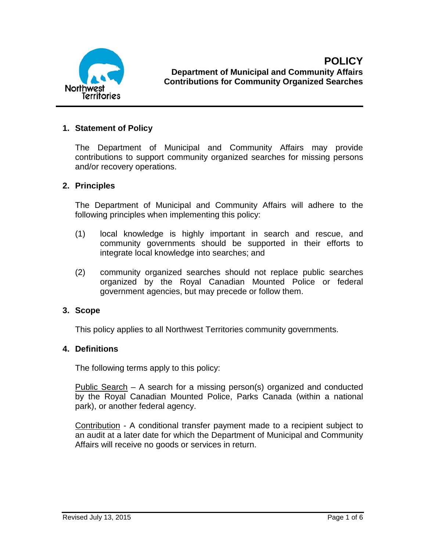

### **1. Statement of Policy**

The Department of Municipal and Community Affairs may provide contributions to support community organized searches for missing persons and/or recovery operations.

### **2. Principles**

The Department of Municipal and Community Affairs will adhere to the following principles when implementing this policy:

- (1) local knowledge is highly important in search and rescue, and community governments should be supported in their efforts to integrate local knowledge into searches; and
- (2) community organized searches should not replace public searches organized by the Royal Canadian Mounted Police or federal government agencies, but may precede or follow them.

### **3. Scope**

This policy applies to all Northwest Territories community governments.

### **4. Definitions**

The following terms apply to this policy:

Public Search – A search for a missing person(s) organized and conducted by the Royal Canadian Mounted Police, Parks Canada (within a national park), or another federal agency.

Contribution - A conditional transfer payment made to a recipient subject to an audit at a later date for which the Department of Municipal and Community Affairs will receive no goods or services in return.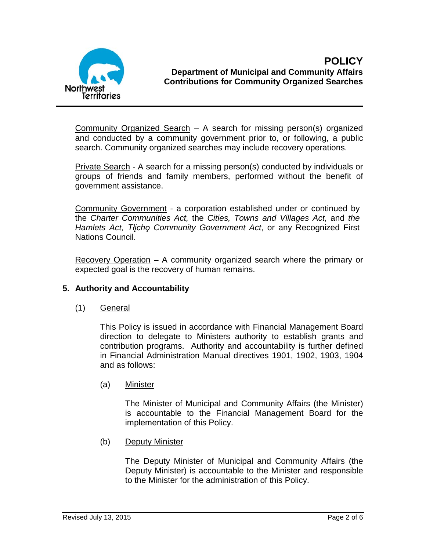

Community Organized Search – A search for missing person(s) organized and conducted by a community government prior to, or following, a public search. Community organized searches may include recovery operations.

Private Search - A search for a missing person(s) conducted by individuals or groups of friends and family members, performed without the benefit of government assistance.

Community Government - a corporation established under or continued by the *Charter Communities Act,* the *Cities, Towns and Villages Act,* and *the Hamlets Act, Tłįchǫ Community Government Act*, or any Recognized First Nations Council.

Recovery Operation – A community organized search where the primary or expected goal is the recovery of human remains.

# **5. Authority and Accountability**

(1) General

This Policy is issued in accordance with Financial Management Board direction to delegate to Ministers authority to establish grants and contribution programs. Authority and accountability is further defined in Financial Administration Manual directives 1901, 1902, 1903, 1904 and as follows:

(a) Minister

The Minister of Municipal and Community Affairs (the Minister) is accountable to the Financial Management Board for the implementation of this Policy.

(b) Deputy Minister

The Deputy Minister of Municipal and Community Affairs (the Deputy Minister) is accountable to the Minister and responsible to the Minister for the administration of this Policy.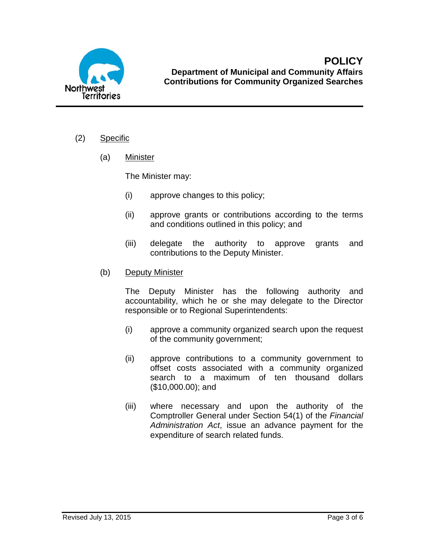

- (2) Specific
	- (a) Minister

The Minister may:

- (i) approve changes to this policy;
- (ii) approve grants or contributions according to the terms and conditions outlined in this policy; and
- (iii) delegate the authority to approve grants and contributions to the Deputy Minister.
- (b) Deputy Minister

The Deputy Minister has the following authority and accountability, which he or she may delegate to the Director responsible or to Regional Superintendents:

- (i) approve a community organized search upon the request of the community government;
- (ii) approve contributions to a community government to offset costs associated with a community organized search to a maximum of ten thousand dollars (\$10,000.00); and
- (iii) where necessary and upon the authority of the Comptroller General under Section 54(1) of the *Financial Administration Act*, issue an advance payment for the expenditure of search related funds.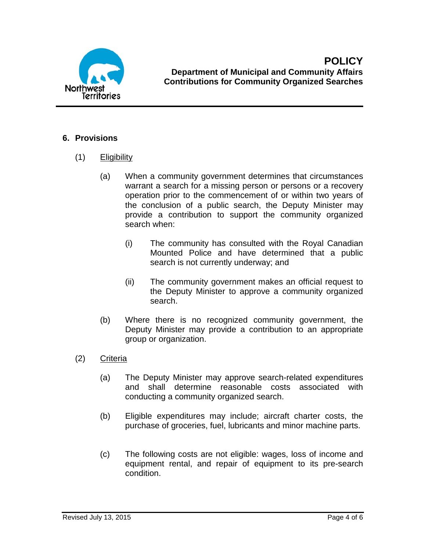

# **6. Provisions**

- (1) Eligibility
	- (a) When a community government determines that circumstances warrant a search for a missing person or persons or a recovery operation prior to the commencement of or within two years of the conclusion of a public search, the Deputy Minister may provide a contribution to support the community organized search when:
		- (i) The community has consulted with the Royal Canadian Mounted Police and have determined that a public search is not currently underway; and
		- (ii) The community government makes an official request to the Deputy Minister to approve a community organized search.
	- (b) Where there is no recognized community government, the Deputy Minister may provide a contribution to an appropriate group or organization.
- (2) Criteria
	- (a) The Deputy Minister may approve search-related expenditures and shall determine reasonable costs associated with conducting a community organized search.
	- (b) Eligible expenditures may include; aircraft charter costs, the purchase of groceries, fuel, lubricants and minor machine parts.
	- (c) The following costs are not eligible: wages, loss of income and equipment rental, and repair of equipment to its pre-search condition.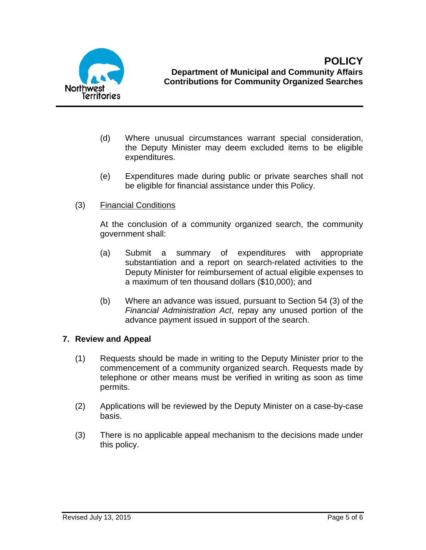

- (d) Where unusual circumstances warrant special consideration, the Deputy Minister may deem excluded items to be eligible expenditures.
- (e) Expenditures made during public or private searches shall not be eligible for financial assistance under this Policy.
- (3) Financial Conditions

At the conclusion of a community organized search, the community government shall:

- (a) Submit a summary of expenditures with appropriate substantiation and a report on search-related activities to the Deputy Minister for reimbursement of actual eligible expenses to a maximum of ten thousand dollars (\$10,000); and
- (b) Where an advance was issued, pursuant to Section 54 (3) of the *Financial Administration Act*, repay any unused portion of the advance payment issued in support of the search.

## **7. Review and Appeal**

- (1) Requests should be made in writing to the Deputy Minister prior to the commencement of a community organized search. Requests made by telephone or other means must be verified in writing as soon as time permits.
- (2) Applications will be reviewed by the Deputy Minister on a case-by-case basis.
- (3) There is no applicable appeal mechanism to the decisions made under this policy.